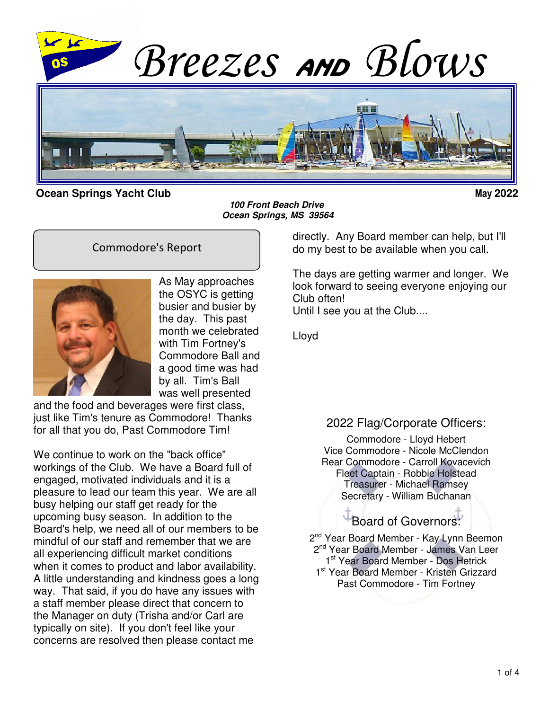

**Ocean Springs Yacht Club May 2022**

**100 Front Beach Drive Ocean Springs, MS 39564**

#### Commodore's Report



As May approaches the OSYC is getting busier and busier by the day. This past month we celebrated with Tim Fortney's Commodore Ball and a good time was had by all. Tim's Ball was well presented

and the food and beverages were first class, just like Tim's tenure as Commodore! Thanks for all that you do, Past Commodore Tim!

We continue to work on the "back office" workings of the Club. We have a Board full of engaged, motivated individuals and it is a pleasure to lead our team this year. We are all busy helping our staff get ready for the upcoming busy season. In addition to the Board's help, we need all of our members to be mindful of our staff and remember that we are all experiencing difficult market conditions when it comes to product and labor availability. A little understanding and kindness goes a long way. That said, if you do have any issues with a staff member please direct that concern to the Manager on duty (Trisha and/or Carl are typically on site). If you don't feel like your concerns are resolved then please contact me

directly. Any Board member can help, but I'll do my best to be available when you call.

The days are getting warmer and longer. We look forward to seeing everyone enjoying our Club often! Until I see you at the Club....

Lloyd

#### 2022 Flag/Corporate Officers:

Commodore - Lloyd Hebert Vice Commodore - Nicole McClendon Rear Commodore - Carroll Kovacevich Fleet Captain - Robbie Holstead Treasurer - Michael Ramsey Secretary - William Buchanan

# Board of Governors:

2<sup>nd</sup> Year Board Member - Kay Lynn Beemon 2<sup>nd</sup> Year Board Member - James Van Leer 1st Year Board Member - Dos Hetrick 1<sup>st</sup> Year Board Member - Kristen Grizzard Past Commodore - Tim Fortney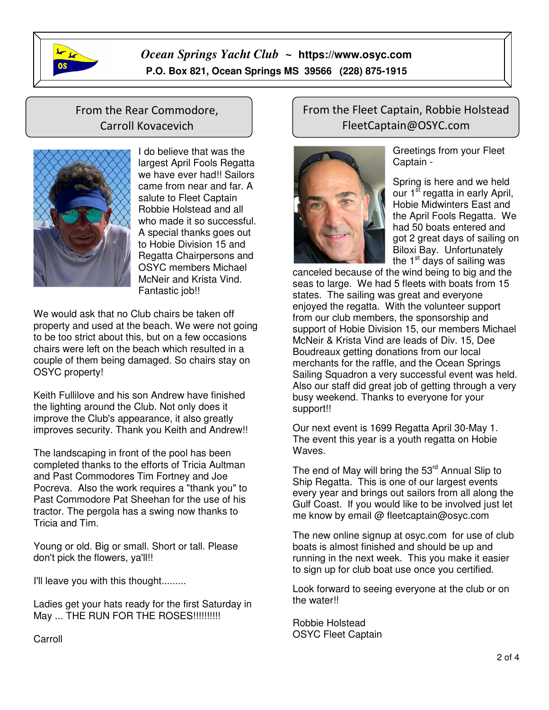

## *Ocean Springs Yacht Club ~* **https://www.osyc.com** **P.O. Box 821, Ocean Springs MS 39566 (228) 875-1915**

 $\overline{1}$ 

## From the Rear Commodore, Carroll Kovacevich



I do believe that was the largest April Fools Regatta we have ever had!! Sailors came from near and far. A salute to Fleet Captain Robbie Holstead and all who made it so successful. A special thanks goes out to Hobie Division 15 and Regatta Chairpersons and OSYC members Michael McNeir and Krista Vind. Fantastic job!!

We would ask that no Club chairs be taken off property and used at the beach. We were not going to be too strict about this, but on a few occasions chairs were left on the beach which resulted in a couple of them being damaged. So chairs stay on OSYC property!

Keith Fullilove and his son Andrew have finished the lighting around the Club. Not only does it improve the Club's appearance, it also greatly improves security. Thank you Keith and Andrew!!

The landscaping in front of the pool has been completed thanks to the efforts of Tricia Aultman and Past Commodores Tim Fortney and Joe Pocreva. Also the work requires a "thank you" to Past Commodore Pat Sheehan for the use of his tractor. The pergola has a swing now thanks to Tricia and Tim.

Young or old. Big or small. Short or tall. Please don't pick the flowers, ya'll!!

I'll leave you with this thought.........

Ladies get your hats ready for the first Saturday in May ... THE RUN FOR THE ROSES!!!!!!!!!!

### From the Fleet Captain, Robbie Holstead FleetCaptain@OSYC.com



Greetings from your Fleet Captain -

Spring is here and we held our  $1^{\overline{st}}$  regatta in early April, Hobie Midwinters East and the April Fools Regatta. We had 50 boats entered and got 2 great days of sailing on Biloxi Bay. Unfortunately the  $1<sup>st</sup>$  days of sailing was

canceled because of the wind being to big and the seas to large. We had 5 fleets with boats from 15 states. The sailing was great and everyone enjoyed the regatta. With the volunteer support from our club members, the sponsorship and support of Hobie Division 15, our members Michael McNeir & Krista Vind are leads of Div. 15, Dee Boudreaux getting donations from our local merchants for the raffle, and the Ocean Springs Sailing Squadron a very successful event was held. Also our staff did great job of getting through a very busy weekend. Thanks to everyone for your support!!

Our next event is 1699 Regatta April 30-May 1. The event this year is a youth regatta on Hobie Waves.

The end of May will bring the  $53<sup>rd</sup>$  Annual Slip to Ship Regatta. This is one of our largest events every year and brings out sailors from all along the Gulf Coast. If you would like to be involved just let me know by email @ fleetcaptain@osyc.com

The new online signup at osyc.com for use of club boats is almost finished and should be up and running in the next week. This you make it easier to sign up for club boat use once you certified.

Look forward to seeing everyone at the club or on the water!!

Robbie Holstead OSYC Fleet Captain

Carroll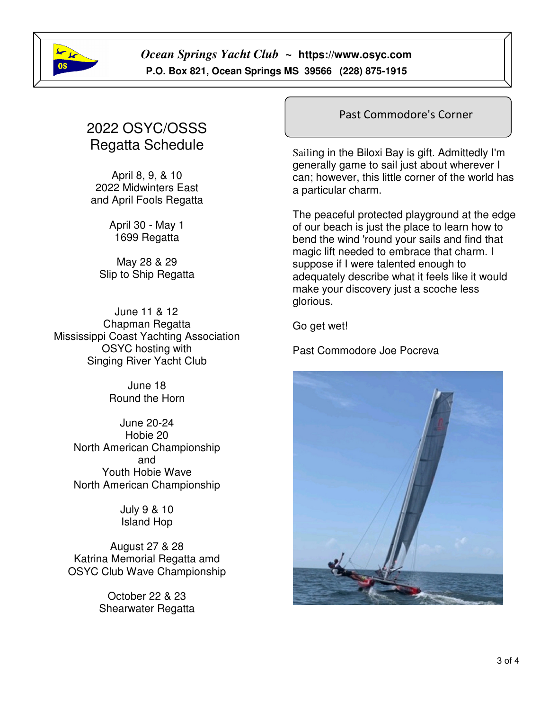

*Ocean Springs Yacht Club ~* **https://www.osyc.com** **P.O. Box 821, Ocean Springs MS 39566 (228) 875-1915** 

# 2022 OSYC/OSSS Regatta Schedule

April 8, 9, & 10 2022 Midwinters East and April Fools Regatta

> April 30 - May 1 1699 Regatta

May 28 & 29 Slip to Ship Regatta

June 11 & 12 Chapman Regatta Mississippi Coast Yachting Association OSYC hosting with Singing River Yacht Club

> June 18 Round the Horn

June 20-24 Hobie 20 North American Championship and Youth Hobie Wave North American Championship

> July 9 & 10 Island Hop

August 27 & 28 Katrina Memorial Regatta amd OSYC Club Wave Championship

> October 22 & 23 Shearwater Regatta

#### Past Commodore's Corner

Sailing in the Biloxi Bay is gift. Admittedly I'm generally game to sail just about wherever I can; however, this little corner of the world has a particular charm.

The peaceful protected playground at the edge of our beach is just the place to learn how to bend the wind 'round your sails and find that magic lift needed to embrace that charm. I suppose if I were talented enough to adequately describe what it feels like it would make your discovery just a scoche less glorious.

Go get wet!

Past Commodore Joe Pocreva